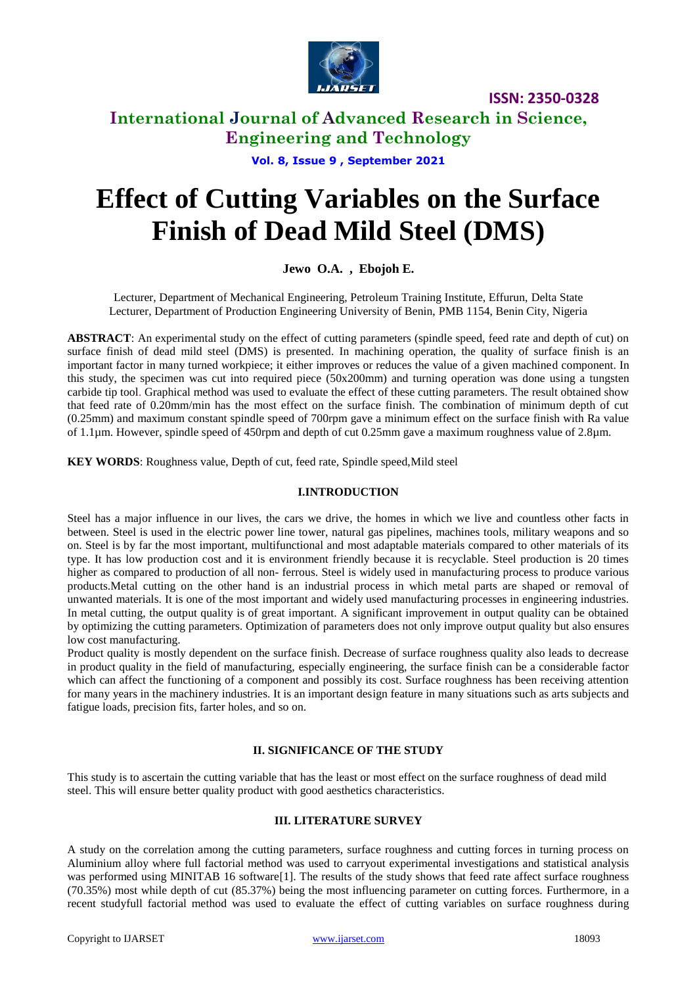

# **International Journal of Advanced Research in Science, Engineering and Technology**

**Vol. 8, Issue 9 , September 2021**

# **Effect of Cutting Variables on the Surface Finish of Dead Mild Steel (DMS)**

### **Jewo O.A. , Ebojoh E.**

Lecturer, Department of Mechanical Engineering, Petroleum Training Institute, Effurun, Delta State Lecturer, Department of Production Engineering University of Benin, PMB 1154, Benin City, Nigeria

**ABSTRACT**: An experimental study on the effect of cutting parameters (spindle speed, feed rate and depth of cut) on surface finish of dead mild steel (DMS) is presented. In machining operation, the quality of surface finish is an important factor in many turned workpiece; it either improves or reduces the value of a given machined component. In this study, the specimen was cut into required piece (50x200mm) and turning operation was done using a tungsten carbide tip tool. Graphical method was used to evaluate the effect of these cutting parameters. The result obtained show that feed rate of 0.20mm/min has the most effect on the surface finish. The combination of minimum depth of cut (0.25mm) and maximum constant spindle speed of 700rpm gave a minimum effect on the surface finish with Ra value of 1.1µm. However, spindle speed of 450rpm and depth of cut 0.25mm gave a maximum roughness value of 2.8µm.

**KEY WORDS**: Roughness value, Depth of cut, feed rate, Spindle speed,Mild steel

#### **I.INTRODUCTION**

Steel has a major influence in our lives, the cars we drive, the homes in which we live and countless other facts in between. Steel is used in the electric power line tower, natural gas pipelines, machines tools, military weapons and so on. Steel is by far the most important, multifunctional and most adaptable materials compared to other materials of its type. It has low production cost and it is environment friendly because it is recyclable. Steel production is 20 times higher as compared to production of all non- ferrous. Steel is widely used in manufacturing process to produce various products.Metal cutting on the other hand is an industrial process in which metal parts are shaped or removal of unwanted materials. It is one of the most important and widely used manufacturing processes in engineering industries. In metal cutting, the output quality is of great important. A significant improvement in output quality can be obtained by optimizing the cutting parameters. Optimization of parameters does not only improve output quality but also ensures low cost manufacturing.

Product quality is mostly dependent on the surface finish. Decrease of surface roughness quality also leads to decrease in product quality in the field of manufacturing, especially engineering, the surface finish can be a considerable factor which can affect the functioning of a component and possibly its cost. Surface roughness has been receiving attention for many years in the machinery industries. It is an important design feature in many situations such as arts subjects and fatigue loads, precision fits, farter holes, and so on.

### **II. SIGNIFICANCE OF THE STUDY**

This study is to ascertain the cutting variable that has the least or most effect on the surface roughness of dead mild steel. This will ensure better quality product with good aesthetics characteristics.

#### **III. LITERATURE SURVEY**

A study on the correlation among the cutting parameters, surface roughness and cutting forces in turning process on Aluminium alloy where full factorial method was used to carryout experimental investigations and statistical analysis was performed using MINITAB 16 software<sup>[1]</sup>. The results of the study shows that feed rate affect surface roughness (70.35%) most while depth of cut (85.37%) being the most influencing parameter on cutting forces. Furthermore, in a recent studyfull factorial method was used to evaluate the effect of cutting variables on surface roughness during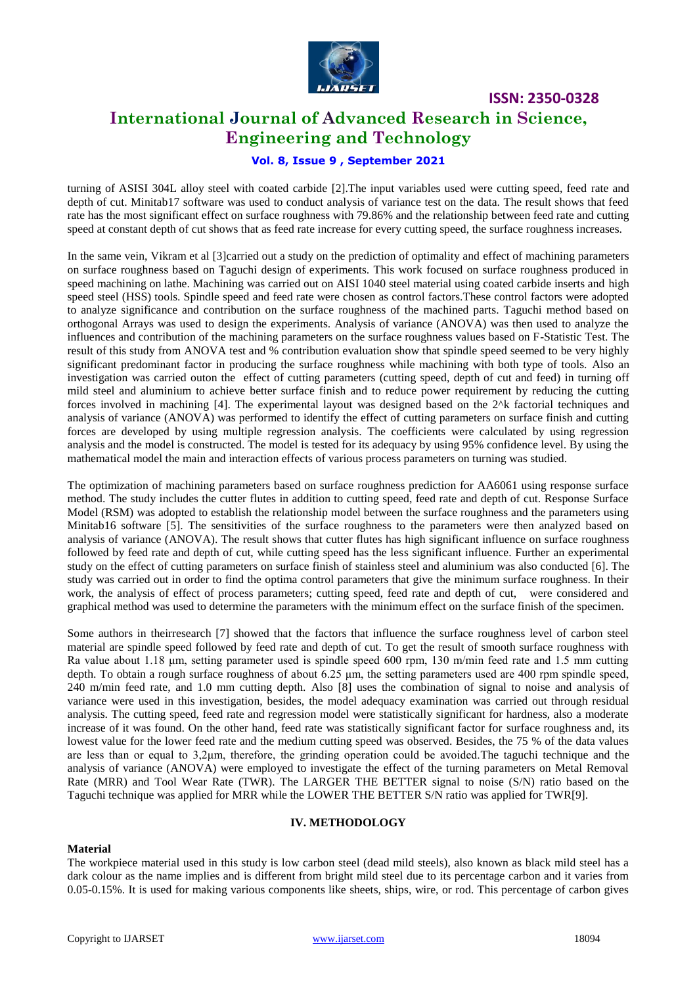

# **International Journal of Advanced Research in Science, Engineering and Technology**

### **Vol. 8, Issue 9 , September 2021**

turning of ASISI 304L alloy steel with coated carbide [2].The input variables used were cutting speed, feed rate and depth of cut. Minitab17 software was used to conduct analysis of variance test on the data. The result shows that feed rate has the most significant effect on surface roughness with 79.86% and the relationship between feed rate and cutting speed at constant depth of cut shows that as feed rate increase for every cutting speed, the surface roughness increases.

In the same vein, Vikram et al [3]carried out a study on the prediction of optimality and effect of machining parameters on surface roughness based on Taguchi design of experiments. This work focused on surface roughness produced in speed machining on lathe. Machining was carried out on AISI 1040 steel material using coated carbide inserts and high speed steel (HSS) tools. Spindle speed and feed rate were chosen as control factors.These control factors were adopted to analyze significance and contribution on the surface roughness of the machined parts. Taguchi method based on orthogonal Arrays was used to design the experiments. Analysis of variance (ANOVA) was then used to analyze the influences and contribution of the machining parameters on the surface roughness values based on F-Statistic Test. The result of this study from ANOVA test and % contribution evaluation show that spindle speed seemed to be very highly significant predominant factor in producing the surface roughness while machining with both type of tools. Also an investigation was carried outon the effect of cutting parameters (cutting speed, depth of cut and feed) in turning off mild steel and aluminium to achieve better surface finish and to reduce power requirement by reducing the cutting forces involved in machining [4]. The experimental layout was designed based on the 2^k factorial techniques and analysis of variance (ANOVA) was performed to identify the effect of cutting parameters on surface finish and cutting forces are developed by using multiple regression analysis. The coefficients were calculated by using regression analysis and the model is constructed. The model is tested for its adequacy by using 95% confidence level. By using the mathematical model the main and interaction effects of various process parameters on turning was studied.

The optimization of machining parameters based on surface roughness prediction for AA6061 using response surface method. The study includes the cutter flutes in addition to cutting speed, feed rate and depth of cut. Response Surface Model (RSM) was adopted to establish the relationship model between the surface roughness and the parameters using Minitab16 software [5]. The sensitivities of the surface roughness to the parameters were then analyzed based on analysis of variance (ANOVA). The result shows that cutter flutes has high significant influence on surface roughness followed by feed rate and depth of cut, while cutting speed has the less significant influence. Further an experimental study on the effect of cutting parameters on surface finish of stainless steel and aluminium was also conducted [6]. The study was carried out in order to find the optima control parameters that give the minimum surface roughness. In their work, the analysis of effect of process parameters; cutting speed, feed rate and depth of cut, were considered and graphical method was used to determine the parameters with the minimum effect on the surface finish of the specimen.

Some authors in theirresearch [7] showed that the factors that influence the surface roughness level of carbon steel material are spindle speed followed by feed rate and depth of cut. To get the result of smooth surface roughness with Ra value about 1.18 μm, setting parameter used is spindle speed 600 rpm, 130 m/min feed rate and 1.5 mm cutting depth. To obtain a rough surface roughness of about 6.25  $\mu$ m, the setting parameters used are 400 rpm spindle speed, 240 m/min feed rate, and 1.0 mm cutting depth. Also [8] uses the combination of signal to noise and analysis of variance were used in this investigation, besides, the model adequacy examination was carried out through residual analysis. The cutting speed, feed rate and regression model were statistically significant for hardness, also a moderate increase of it was found. On the other hand, feed rate was statistically significant factor for surface roughness and, its lowest value for the lower feed rate and the medium cutting speed was observed. Besides, the 75 % of the data values are less than or equal to 3,2μm, therefore, the grinding operation could be avoided.The taguchi technique and the analysis of variance (ANOVA) were employed to investigate the effect of the turning parameters on Metal Removal Rate (MRR) and Tool Wear Rate (TWR). The LARGER THE BETTER signal to noise (S/N) ratio based on the Taguchi technique was applied for MRR while the LOWER THE BETTER S/N ratio was applied for TWR[9].

#### **IV. METHODOLOGY**

#### **Material**

The workpiece material used in this study is low carbon steel (dead mild steels), also known as black mild steel has a dark colour as the name implies and is different from bright mild steel due to its percentage carbon and it varies from 0.05-0.15%. It is used for making various components like sheets, ships, wire, or rod. This percentage of carbon gives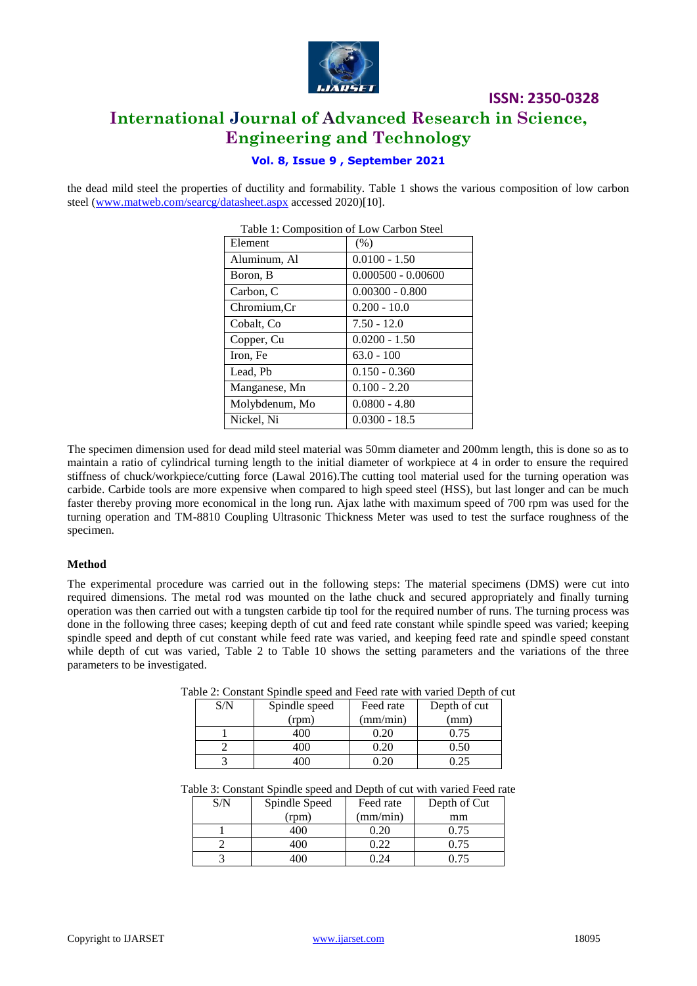

# **ISSN: 2350-0328 International Journal of Advanced Research in Science, Engineering and Technology**

### **Vol. 8, Issue 9 , September 2021**

the dead mild steel the properties of ductility and formability. Table 1 shows the various composition of low carbon steel [\(www.matweb.com/searcg/datasheet.aspx](http://www.matweb.com/searcg/datasheet.aspx) accessed 2020)[10].

| Table 1: Composition of Low Carbon Steel |                      |  |
|------------------------------------------|----------------------|--|
| Element                                  | (% )                 |  |
| Aluminum, Al                             | $0.0100 - 1.50$      |  |
| Boron, B                                 | $0.000500 - 0.00600$ |  |
| Carbon, C                                | $0.00300 - 0.800$    |  |
| Chromium, Cr                             | $0.200 - 10.0$       |  |
| Cobalt, Co                               | $7.50 - 12.0$        |  |
| Copper, Cu                               | $0.0200 - 1.50$      |  |
| Iron, Fe                                 | $63.0 - 100$         |  |
| Lead, Pb                                 | $0.150 - 0.360$      |  |
| Manganese, Mn                            | $0.100 - 2.20$       |  |
| Molybdenum, Mo                           | $0.0800 - 4.80$      |  |
| Nickel, Ni                               | $0.0300 - 18.5$      |  |

The specimen dimension used for dead mild steel material was 50mm diameter and 200mm length, this is done so as to maintain a ratio of cylindrical turning length to the initial diameter of workpiece at 4 in order to ensure the required stiffness of chuck/workpiece/cutting force (Lawal 2016).The cutting tool material used for the turning operation was carbide. Carbide tools are more expensive when compared to high speed steel (HSS), but last longer and can be much faster thereby proving more economical in the long run. Ajax lathe with maximum speed of 700 rpm was used for the turning operation and TM-8810 Coupling Ultrasonic Thickness Meter was used to test the surface roughness of the specimen.

#### **Method**

The experimental procedure was carried out in the following steps: The material specimens (DMS) were cut into required dimensions. The metal rod was mounted on the lathe chuck and secured appropriately and finally turning operation was then carried out with a tungsten carbide tip tool for the required number of runs. The turning process was done in the following three cases; keeping depth of cut and feed rate constant while spindle speed was varied; keeping spindle speed and depth of cut constant while feed rate was varied, and keeping feed rate and spindle speed constant while depth of cut was varied, Table 2 to Table 10 shows the setting parameters and the variations of the three parameters to be investigated.

| S/N | Spindle speed | Feed rate | Depth of cut |  |
|-----|---------------|-----------|--------------|--|
|     | (rpm)         | (mm/min)  | (mm)         |  |
|     | 400           |           | 0.75         |  |
|     | 400           | 0.20      | 0.50         |  |
|     | m             |           |              |  |

Table 2: Constant Spindle speed and Feed rate with varied Depth of cut

|  |  |  |  |  |  |  | Table 3: Constant Spindle speed and Depth of cut with varied Feed rate |  |
|--|--|--|--|--|--|--|------------------------------------------------------------------------|--|
|  |  |  |  |  |  |  |                                                                        |  |

| S/N | Spindle Speed | Feed rate | Depth of Cut |
|-----|---------------|-----------|--------------|
|     | (rpm)         | (mm/min)  | mm           |
|     | 400           |           | 0.75         |
|     | 400           | ).22      | 0.75         |
|     |               |           | በ 75         |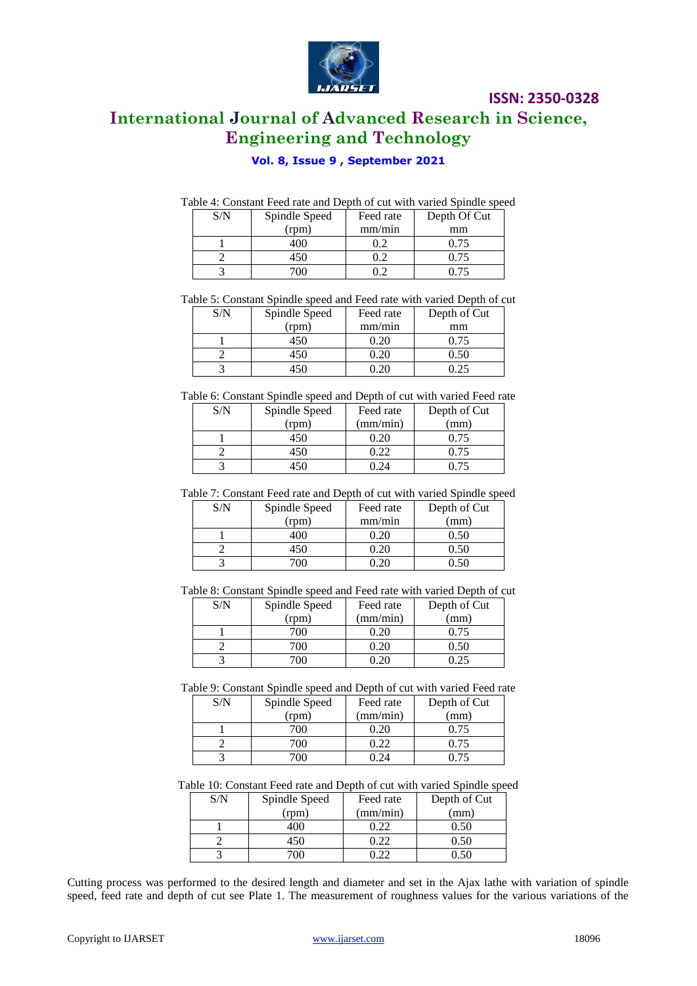

# **International Journal of Advanced Research in Science, Engineering and Technology**

### **Vol. 8, Issue 9 , September 2021**

| Table 4: Constant Feed rate and Depth of cut with varied Spindle speed |
|------------------------------------------------------------------------|
|------------------------------------------------------------------------|

| S/N | Spindle Speed | Feed rate | Depth Of Cut |
|-----|---------------|-----------|--------------|
|     | (rpm)         | mm/min    | mm           |
|     | 400           |           | 0.75         |
|     | 450           |           | 0.75         |
|     |               |           | (175)        |

Table 5: Constant Spindle speed and Feed rate with varied Depth of cut

| S/N | Spindle Speed | Feed rate | Depth of Cut |
|-----|---------------|-----------|--------------|
|     | (rpm)         | mm/min    | mm           |
|     |               |           | 0.75         |
|     | 450           |           | 0.50         |
|     |               |           |              |

Table 6: Constant Spindle speed and Depth of cut with varied Feed rate

| S/N | Spindle Speed | Feed rate    | Depth of Cut |
|-----|---------------|--------------|--------------|
|     | (rpm)         | (mm/min)     | (mm)         |
|     | 450           | $20^{\circ}$ | 0.75         |
|     | 450           | .22          | 0.75         |
|     |               |              |              |

Table 7: Constant Feed rate and Depth of cut with varied Spindle speed

| S/N | Spindle Speed | Feed rate | Depth of Cut |
|-----|---------------|-----------|--------------|
|     | (rpm)         | mm/min    | (mm)         |
|     | 100           | 0.20      | 0.50         |
|     | 450           | 0.20      | 0.50         |
|     | 700-          |           | N 50         |

Table 8: Constant Spindle speed and Feed rate with varied Depth of cut

| S/N | Spindle Speed | Feed rate | Depth of Cut |
|-----|---------------|-----------|--------------|
|     | (rpm)         | (mm/min)  | (mm)         |
|     | 700           |           | 0.75         |
|     | 700           |           | 0.50         |
|     |               |           | 0.25         |

Table 9: Constant Spindle speed and Depth of cut with varied Feed rate

| S/N | Spindle Speed | Feed rate | Depth of Cut |
|-----|---------------|-----------|--------------|
|     | (rpm)         | (mm/min)  | (mm)         |
|     | 700           | 0.20      | 0.75         |
|     | 700           | 0.22      | 0.75         |
|     | ൜             |           | (175)        |

Table 10: Constant Feed rate and Depth of cut with varied Spindle speed

| S/N | Spindle Speed | Feed rate | Depth of Cut |
|-----|---------------|-----------|--------------|
|     | (rpm)         | (mm/min)  | (mm)         |
|     | 400           | 0.22      | 0.50         |
|     | 450           | 0.22      |              |
|     |               |           |              |

Cutting process was performed to the desired length and diameter and set in the Ajax lathe with variation of spindle speed, feed rate and depth of cut see Plate 1. The measurement of roughness values for the various variations of the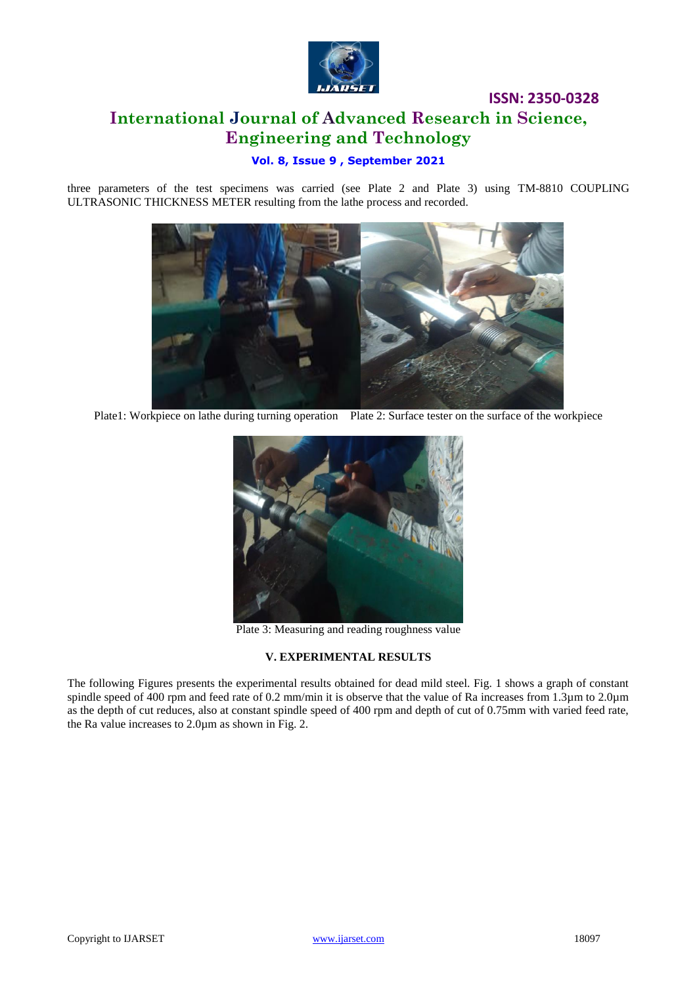

# **ISSN: 2350-0328 International Journal of Advanced Research in Science, Engineering and Technology**

### **Vol. 8, Issue 9 , September 2021**

three parameters of the test specimens was carried (see Plate 2 and Plate 3) using TM-8810 COUPLING ULTRASONIC THICKNESS METER resulting from the lathe process and recorded.



Plate1: Workpiece on lathe during turning operation Plate 2: Surface tester on the surface of the workpiece



Plate 3: Measuring and reading roughness value

### **V. EXPERIMENTAL RESULTS**

The following Figures presents the experimental results obtained for dead mild steel. Fig. 1 shows a graph of constant spindle speed of 400 rpm and feed rate of 0.2 mm/min it is observe that the value of Ra increases from 1.3µm to 2.0µm as the depth of cut reduces, also at constant spindle speed of 400 rpm and depth of cut of 0.75mm with varied feed rate, the Ra value increases to 2.0µm as shown in Fig. 2.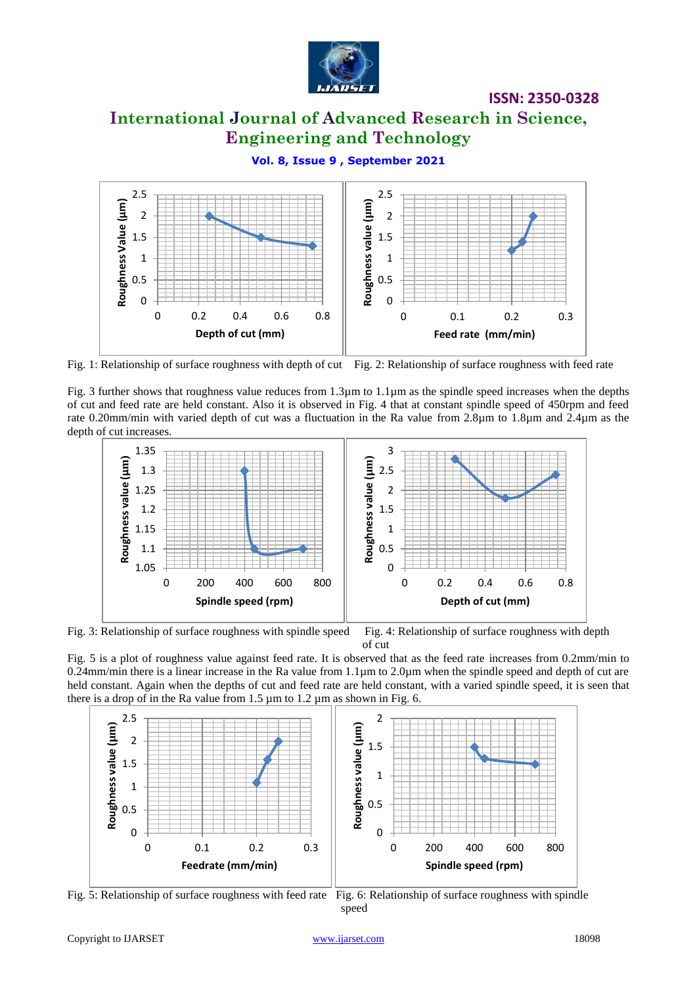

# **International Journal of Advanced Research in Science, Engineering and Technology**

**Vol. 8, Issue 9 , September 2021**



Fig. 1: Relationship of surface roughness with depth of cut Fig. 2: Relationship of surface roughness with feed rate

Fig. 3 further shows that roughness value reduces from 1.3µm to 1.1µm as the spindle speed increases when the depths of cut and feed rate are held constant. Also it is observed in Fig. 4 that at constant spindle speed of 450rpm and feed rate 0.20mm/min with varied depth of cut was a fluctuation in the Ra value from 2.8µm to 1.8µm and 2.4µm as the depth of cut increases.



Fig. 3: Relationship of surface roughness with spindle speed Fig. 4: Relationship of surface roughness with depth of cut

Fig. 5 is a plot of roughness value against feed rate. It is observed that as the feed rate increases from 0.2mm/min to 0.24mm/min there is a linear increase in the Ra value from 1.1µm to 2.0µm when the spindle speed and depth of cut are held constant. Again when the depths of cut and feed rate are held constant, with a varied spindle speed, it is seen that there is a drop of in the Ra value from  $1.5 \mu m$  to  $1.2 \mu m$  as shown in Fig. 6.



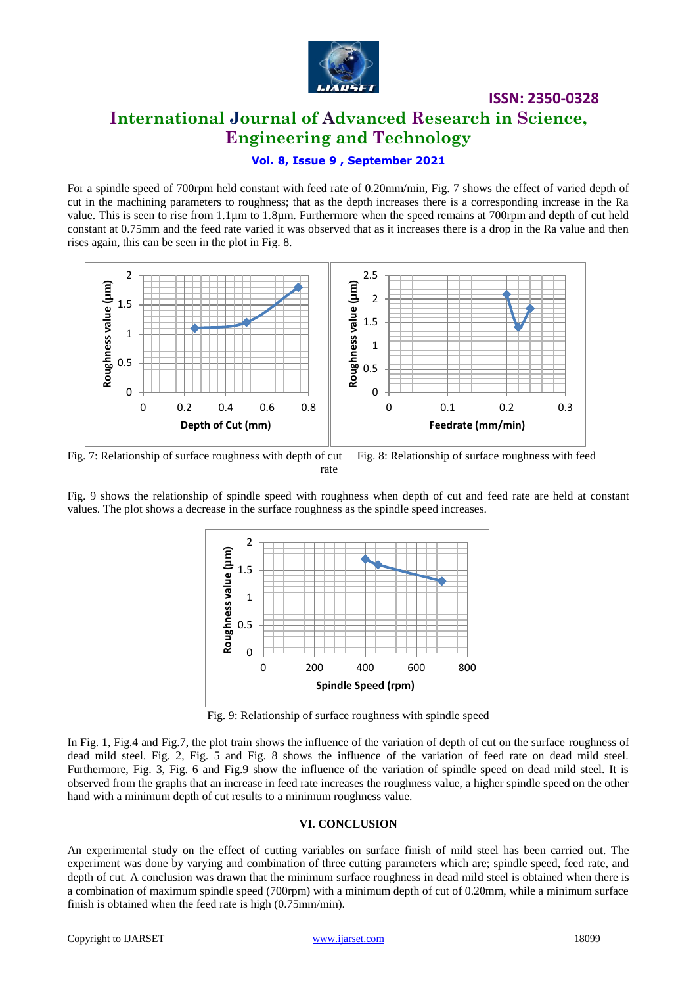

# **International Journal of Advanced Research in Science, Engineering and Technology**

**ISSN: 2350-0328**

### **Vol. 8, Issue 9 , September 2021**

For a spindle speed of 700rpm held constant with feed rate of 0.20mm/min, Fig. 7 shows the effect of varied depth of cut in the machining parameters to roughness; that as the depth increases there is a corresponding increase in the Ra value. This is seen to rise from 1.1µm to 1.8µm. Furthermore when the speed remains at 700rpm and depth of cut held constant at 0.75mm and the feed rate varied it was observed that as it increases there is a drop in the Ra value and then rises again, this can be seen in the plot in Fig. 8.



Fig. 7: Relationship of surface roughness with depth of cut Fig. 8: Relationship of surface roughness with feed rate

Fig. 9 shows the relationship of spindle speed with roughness when depth of cut and feed rate are held at constant values. The plot shows a decrease in the surface roughness as the spindle speed increases.



Fig. 9: Relationship of surface roughness with spindle speed

In Fig. 1, Fig.4 and Fig.7, the plot train shows the influence of the variation of depth of cut on the surface roughness of dead mild steel. Fig. 2, Fig. 5 and Fig. 8 shows the influence of the variation of feed rate on dead mild steel. Furthermore, Fig. 3, Fig. 6 and Fig.9 show the influence of the variation of spindle speed on dead mild steel. It is observed from the graphs that an increase in feed rate increases the roughness value, a higher spindle speed on the other hand with a minimum depth of cut results to a minimum roughness value.

#### **VI. CONCLUSION**

An experimental study on the effect of cutting variables on surface finish of mild steel has been carried out. The experiment was done by varying and combination of three cutting parameters which are; spindle speed, feed rate, and depth of cut. A conclusion was drawn that the minimum surface roughness in dead mild steel is obtained when there is a combination of maximum spindle speed (700rpm) with a minimum depth of cut of 0.20mm, while a minimum surface finish is obtained when the feed rate is high (0.75mm/min).